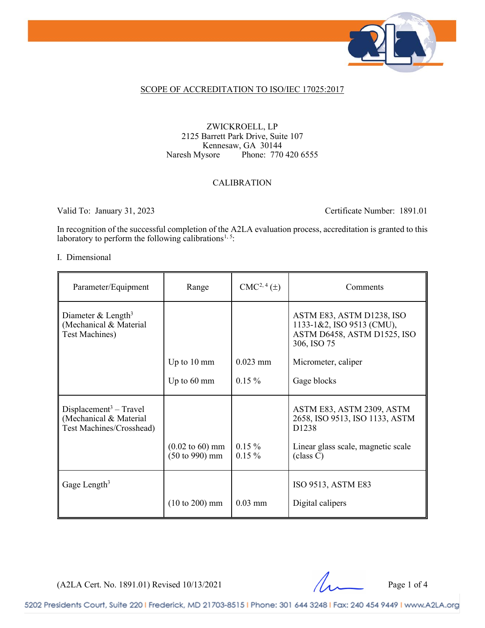

## SCOPE OF ACCREDITATION TO ISO/IEC 17025:2017

## ZWICKROELL, LP 2125 Barrett Park Drive, Suite 107 Kennesaw, GA 30144<br>Naresh Mysore Phone: 770 Phone: 770 420 6555

## CALIBRATION

Valid To: January 31, 2023 Certificate Number: 1891.01

In recognition of the successful completion of the A2LA evaluation process, accreditation is granted to this laboratory to perform the following calibrations<sup>[1](#page-2-0), 5</sup>:

#### I. Dimensional

| Parameter/Equipment                                                            | Range                                                                   | $CMC2, 4(\pm)$       | Comments                                                                                             |
|--------------------------------------------------------------------------------|-------------------------------------------------------------------------|----------------------|------------------------------------------------------------------------------------------------------|
| Diameter & Length <sup>3</sup><br>(Mechanical & Material<br>Test Machines)     |                                                                         |                      | ASTM E83, ASTM D1238, ISO<br>1133-1&2, ISO 9513 (CMU),<br>ASTM D6458, ASTM D1525, ISO<br>306, ISO 75 |
|                                                                                | Up to 10 mm                                                             | $0.023$ mm           | Micrometer, caliper                                                                                  |
|                                                                                | Up to $60 \text{ mm}$                                                   | $0.15\%$             | Gage blocks                                                                                          |
| $Displacement3 - Travel$<br>(Mechanical & Material<br>Test Machines/Crosshead) |                                                                         |                      | ASTM E83, ASTM 2309, ASTM<br>2658, ISO 9513, ISO 1133, ASTM<br>D <sub>1238</sub>                     |
|                                                                                | $(0.02 \text{ to } 60) \text{ mm}$<br>$(50 \text{ to } 990) \text{ mm}$ | $0.15\%$<br>$0.15\%$ | Linear glass scale, magnetic scale<br>class C)                                                       |
| Gage Length <sup>3</sup>                                                       |                                                                         |                      | ISO 9513, ASTM E83                                                                                   |
|                                                                                | $(10 \text{ to } 200) \text{ mm}$                                       | $0.03$ mm            | Digital calipers                                                                                     |

 $(A2LA$  Cert. No. 1891.01) Revised  $10/13/2021$  Page 1 of 4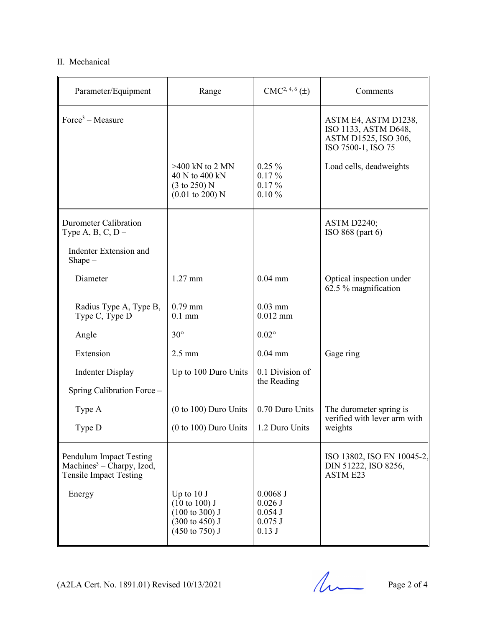## II. Mechanical

| Parameter/Equipment                                                                                      | Range                                                                                                                          | $CMC2, 4, 6(\pm)$                                          | Comments                                                                                   |  |
|----------------------------------------------------------------------------------------------------------|--------------------------------------------------------------------------------------------------------------------------------|------------------------------------------------------------|--------------------------------------------------------------------------------------------|--|
| $Force3 - Measure$                                                                                       |                                                                                                                                |                                                            | ASTM E4, ASTM D1238,<br>ISO 1133, ASTM D648,<br>ASTM D1525, ISO 306,<br>ISO 7500-1, ISO 75 |  |
|                                                                                                          | $>400$ kN to 2 MN<br>40 N to 400 kN<br>$(3 \text{ to } 250)$ N<br>$(0.01 \text{ to } 200)$ N                                   | $0.25\%$<br>$0.17\%$<br>$0.17\%$<br>0.10%                  | Load cells, deadweights                                                                    |  |
| Durometer Calibration<br>Type A, B, C, $D -$                                                             |                                                                                                                                |                                                            | <b>ASTM D2240;</b><br>ISO $868$ (part $6$ )                                                |  |
| Indenter Extension and<br>$Shape -$                                                                      |                                                                                                                                |                                                            |                                                                                            |  |
| Diameter                                                                                                 | $1.27$ mm                                                                                                                      | $0.04$ mm                                                  | Optical inspection under<br>62.5 % magnification                                           |  |
| Radius Type A, Type B,<br>Type C, Type D                                                                 | $0.79$ mm<br>$0.1$ mm                                                                                                          | $0.03$ mm<br>$0.012$ mm                                    |                                                                                            |  |
| Angle                                                                                                    | $30^\circ$                                                                                                                     | $0.02^\circ$                                               |                                                                                            |  |
| Extension                                                                                                | $2.5 \text{ mm}$                                                                                                               | $0.04$ mm                                                  | Gage ring                                                                                  |  |
| <b>Indenter Display</b>                                                                                  | Up to 100 Duro Units                                                                                                           | 0.1 Division of<br>the Reading                             |                                                                                            |  |
| Spring Calibration Force -                                                                               |                                                                                                                                |                                                            |                                                                                            |  |
| Type A                                                                                                   | (0 to 100) Duro Units                                                                                                          | 0.70 Duro Units                                            | The durometer spring is<br>verified with lever arm with<br>weights                         |  |
| Type D                                                                                                   | $(0 to 100)$ Duro Units                                                                                                        | 1.2 Duro Units                                             |                                                                                            |  |
| <b>Pendulum Impact Testing</b><br>Machines <sup>3</sup> – Charpy, Izod,<br><b>Tensile Impact Testing</b> |                                                                                                                                |                                                            | ISO 13802, ISO EN 10045-2.<br>DIN 51222, ISO 8256,<br><b>ASTM E23</b>                      |  |
| Energy                                                                                                   | Up to $10J$<br>$(10 \text{ to } 100)$ J<br>$(100 \text{ to } 300)$ J<br>$(300 \text{ to } 450)$ J<br>$(450 \text{ to } 750)$ J | $0.0068$ J<br>$0.026$ J<br>$0.054$ J<br>$0.075$ J<br>0.13J |                                                                                            |  |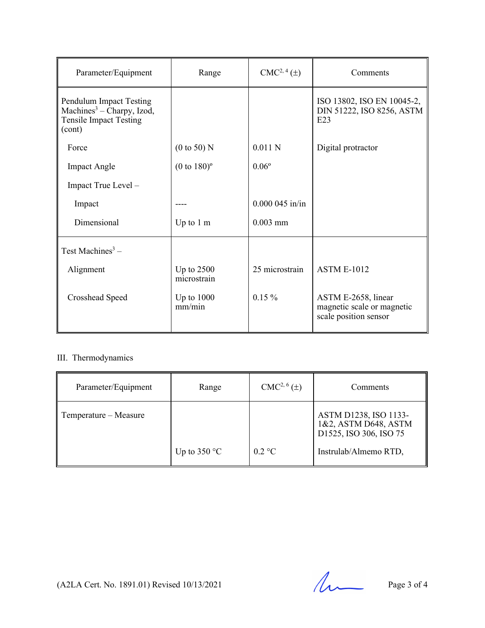| Parameter/Equipment                                                                                         | Range                       | $CMC2, 4(\pm)$   | Comments                                                                   |
|-------------------------------------------------------------------------------------------------------------|-----------------------------|------------------|----------------------------------------------------------------------------|
| Pendulum Impact Testing<br>Machines <sup>3</sup> – Charpy, Izod,<br><b>Tensile Impact Testing</b><br>(cont) |                             |                  | ISO 13802, ISO EN 10045-2,<br>DIN 51222, ISO 8256, ASTM<br>E23             |
| Force                                                                                                       | $(0 \text{ to } 50)$ N      | 0.011 N          | Digital protractor                                                         |
| <b>Impact Angle</b>                                                                                         | $(0 to 180)$ <sup>o</sup>   | $0.06^{\circ}$   |                                                                            |
| Impact True Level -                                                                                         |                             |                  |                                                                            |
| Impact                                                                                                      |                             | $0.000045$ in/in |                                                                            |
| Dimensional                                                                                                 | Up to $1 \text{ m}$         | $0.003$ mm       |                                                                            |
| Test Machines <sup>3</sup> –                                                                                |                             |                  |                                                                            |
| Alignment                                                                                                   | Up to $2500$<br>microstrain | 25 microstrain   | <b>ASTM E-1012</b>                                                         |
| Crosshead Speed                                                                                             | Up to $1000$<br>mm/min      | $0.15\%$         | ASTM E-2658, linear<br>magnetic scale or magnetic<br>scale position sensor |

## <span id="page-2-0"></span>III. Thermodynamics

| Parameter/Equipment   | Range          | $CMC2, 6(\pm)$          | Comments                                                                |
|-----------------------|----------------|-------------------------|-------------------------------------------------------------------------|
| Temperature – Measure |                |                         | ASTM D1238, ISO 1133-<br>1&2, ASTM D648, ASTM<br>D1525, ISO 306, ISO 75 |
|                       | Up to $350 °C$ | $0.2 \text{ }^{\circ}C$ | Instrulab/Almemo RTD,                                                   |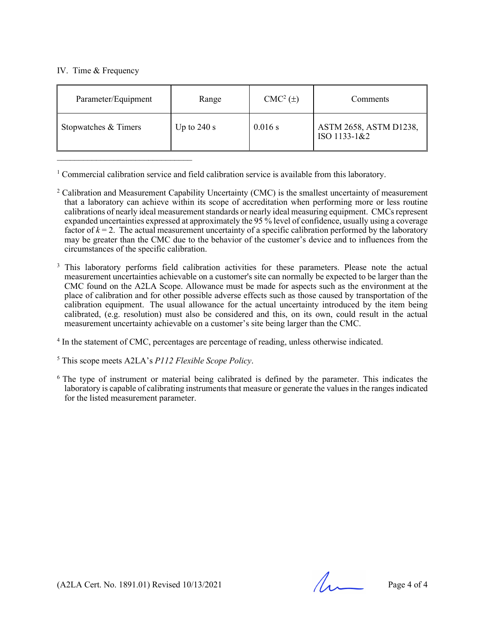## IV. Time & Frequency

| Parameter/Equipment  | Range         | CMC <sup>2</sup> (±) | Comments                               |
|----------------------|---------------|----------------------|----------------------------------------|
| Stopwatches & Timers | Up to $240 s$ | 0.016 s              | ASTM 2658, ASTM D1238,<br>ISO 1133-1&2 |

<sup>1</sup> Commercial calibration service and field calibration service is available from this laboratory.

<span id="page-3-0"></span><sup>2</sup> Calibration and Measurement Capability Uncertainty (CMC) is the smallest uncertainty of measurement that a laboratory can achieve within its scope of accreditation when performing more or less routine calibrations of nearly ideal measurement standards or nearly ideal measuring equipment. CMCs represent expanded uncertainties expressed at approximately the 95 % level of confidence, usually using a coverage factor of  $k = 2$ . The actual measurement uncertainty of a specific calibration performed by the laboratory may be greater than the CMC due to the behavior of the customer's device and to influences from the circumstances of the specific calibration.

<sup>3</sup> This laboratory performs field calibration activities for these parameters. Please note the actual measurement uncertainties achievable on a customer's site can normally be expected to be larger than the CMC found on the A2LA Scope. Allowance must be made for aspects such as the environment at the place of calibration and for other possible adverse effects such as those caused by transportation of the calibration equipment. The usual allowance for the actual uncertainty introduced by the item being calibrated, (e.g. resolution) must also be considered and this, on its own, could result in the actual measurement uncertainty achievable on a customer's site being larger than the CMC.

<sup>4</sup> In the statement of CMC, percentages are percentage of reading, unless otherwise indicated.

<sup>5</sup> This scope meets A2LA's *P112 Flexible Scope Policy*.

<sup>6</sup> The type of instrument or material being calibrated is defined by the parameter. This indicates the laboratory is capable of calibrating instruments that measure or generate the values in the ranges indicated for the listed measurement parameter.